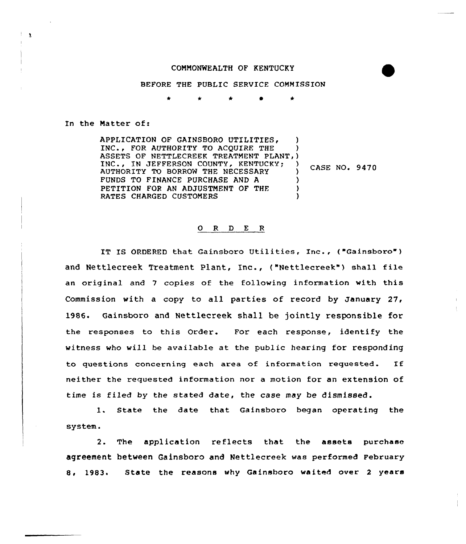## COMMONWEALTH OF KENTUCKY

BEFORE THE PUBLIC SERVICE COMMISSION

\* \* \* 0 \*

ln the Matter of:

 $\mathbf{1}$ 

APPLICATION OF GAINSBORO UTILITIES, )<br>INC.. FOR AUTHORITY TO ACOUIRE THE INC., FOR AUTHORITY TO ACQUIRE THE ASSETS OF NETTLECREEK TREATMENT PLANT, ) INC., IN JEFFERSON COUNTY, KENTUCKY; ) AUTHORITY TO BORROW THE NECESSARY FUNDS TO FINANCE PURCHASE AND A PETITION FOR AN ADJUSTMENT OF THE RATES CHARGED CUSTOMERS CASE NO. 9470

## 0 R <sup>D</sup> <sup>E</sup> <sup>R</sup>

IT IS ORDERED that Gainsboro Utilities, Inc., ("Gainsboro") and Nettlecreek Treatment Plant, Inc., ("Nettlecreek") shall file an original and 7 copies of the following information with this Commission with a copy to all parties of record by January 27, 1986. Gainsboro and Nettlecreek shall be jointly responsible for the responses to this Order. For each response, identify the witness who will be available at the public hearing for responding to questions concerning each area of information requested. If neither the requested information nor a motion for an extension of time is filed by the stated date, the case may be dismissed.

1. State the date that. Gainsboro began operating the system.

2. The application reflects that the assets purchase agreement between Gainsboro and Nettlecreek was performed February 8. 1983. State the reasons why Gainsboro waited over 2 years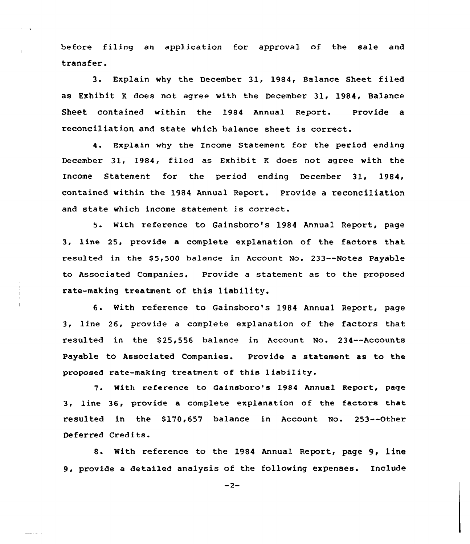before filing an application for approval of the sale and transfer.

3. Explain why the December 31, 1984, Balance Sheet filed as Exhibit <sup>K</sup> does not agree with the December 31, 1984, Balance Sheet contained within the 1984 Annual Report. Provide a reconciliation and state which balance sheet is correct.

4. Explain why the Income Statement for the period ending December 31, 1984, filed as Exhibit <sup>K</sup> does not agree with the Income Statement for the period ending December 31, 1984, contained within the 1984 Annual Report. Provide a reconciliation and state which income statement is correct.

5. with reference to Gainsboro's 1984 Annual Report, page 3, line 25, provide a complete explanation of the factors that resulted in the \$5,500 balance in Account No. 233--Notes Payable to Associated Companies. Provide a statement as to the proposed rate-making treatment of this liability.

6. With reference to Gainsboro's 1984 Annual Report, page 3, line 26, provide a complete explanation of the factors that resulted in the \$25,556 balance in Account No. 234--Accounts Payable to Associated Companies. Provide a statement as to the proposed rate-making treatment of this liability.

7. With reference to Gainsboro's 1984 Annual Report, page 3, line 36, provide a complete explanation of the factors that resulted in the \$170,657 balance in Account No. 253--Other Deferred Credits.

8. With reference to the 1984 Annual Report, page 9, line 9, provide a detailed analysis of the following expenses. Include

 $-2-$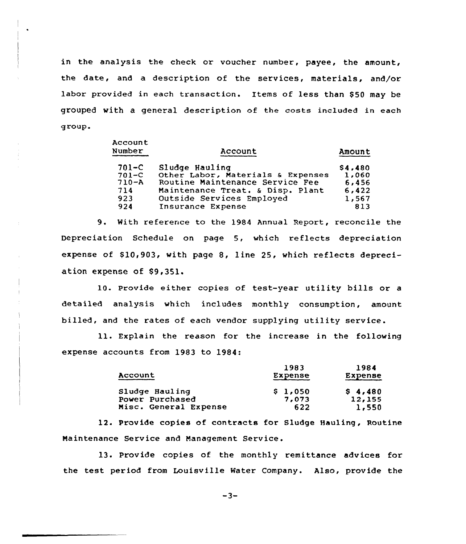in the analysis the check or voucher number, payee, the amount, the date, and a description of the services, materials, and/or labor provided in each transaction. Items of less than \$50 may be grouped with a general description of the costs included in each group.

Account of the country of the

| Account                           | Amount                    |
|-----------------------------------|---------------------------|
| Sludge Hauling                    | \$4,480                   |
| Other Labor, Materials & Expenses | 1,060                     |
| Routine Maintenance Service Fee   | 6,456                     |
| Maintenance Treat. & Disp. Plant  | 6,422                     |
|                                   | 1,567                     |
| Insurance Expense                 | 813                       |
|                                   | Outside Services Employed |

9. With reference to the 1984 Annual Report, reconcile the Depreciation Schedule on page 5, which reflects depreciation expense of  $$10,903$ , with page 8, line 25, which reflects depreciation expense of \$9,351.

10. Provide either copies of test-year utility bills or <sup>a</sup> detailed analysis which includes monthly consumption, amount billed, and the rates of each vendor supplying utility service.

ll. Explain the reason for the increase in the following expense accounts from 1983 to 1984:

| Account                           | 1983<br>Expense  | 1984<br>Expense   |
|-----------------------------------|------------------|-------------------|
| Sludge Hauling<br>Power Purchased | \$1,050<br>7,073 | \$4,480<br>12,155 |
| Misc. General Expense             | 622              | 1,550             |

12. Provide copies of contracts for Sludge Hauling, Routine Naintenance Service and Management Service.

13. Provide copies of the monthly remittance advices for the test period from Louisville Water Company. Also, provide the

 $-3-$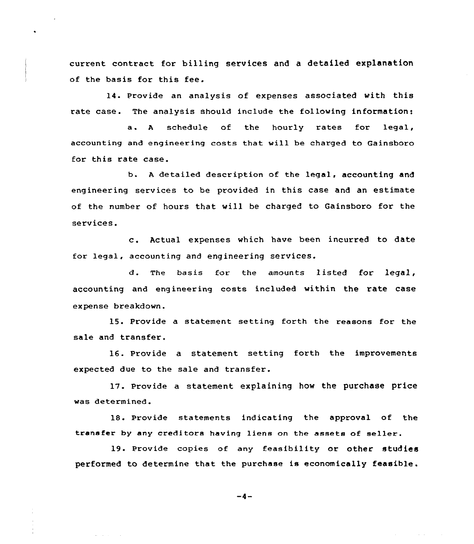current contract for billing services and a detailed explanation of the basis for this fee.

14. Provide an analysis of expenses associated with this rate case. The analysis should include the following information:

a. <sup>A</sup> schedule of the hourly rates for legal, accounting and engineering costs that will be charged to Gainsboro for this rate case.

b. <sup>A</sup> detailed description of the legal, accounting and engineering services to be provided in this case and an estimate of the number of hours that will be charged to Gainsboro for the services.

c. Actual expenses which have been incurred to date for legal, accounting and engineering services.

d. The basis for the amounts listed for legal, accounting and engineering costs included within the rate case expense breakdown.

15. Provide a statement setting forth the reasons for the sale and transfer.

16. Provide a statement setting forth the improvements expected due to the sale and transfer.

17. Provide a statement explaining how the purchase price was determined.

18. Provide statements indicating the approval of the transfer by any creditors having liens on the assets of seller.

19. Provide copies of any feasibility or other studies performed to determine that the purchase is economically feasible.

 $-4-$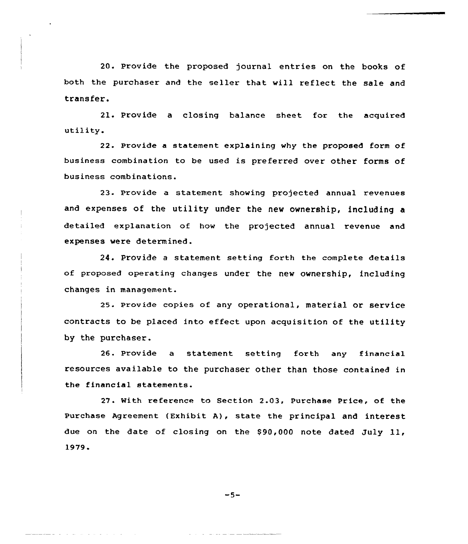20. Provide the proposed journal entries on the books of both the purchaser and the seller that will reflect the sale and transfer.

21. Provide <sup>a</sup> closing balance sheet for the acquired utility.

22. Provide a statement explaining why the proposed form of business combination to be used is preferred over other forms of business combinations.

23. Provide a statement showing projected annual revenues and expenses of the utility under the new ownership, including a detailed explanation of how the projected annual revenue and expenses were determined.

24. Provide <sup>a</sup> statement setting forth the complete details of proposed operating changes under the new ownership, including changes in management.

25. Provide copies of any operational, material or service contracts to be placed into effect upon acquisition of the utility by the purchaser.

26. Provide a statement setting forth any financial resources available to the purchaser other than those contained in the financial statements.

27. With reference to Section 2.03, Purchase Price, of the Purchase Agreement (Exhibit A), state the principal and interest due on the date of closing on the \$90,000 note dated July 11, 1979'

$$
-5-
$$